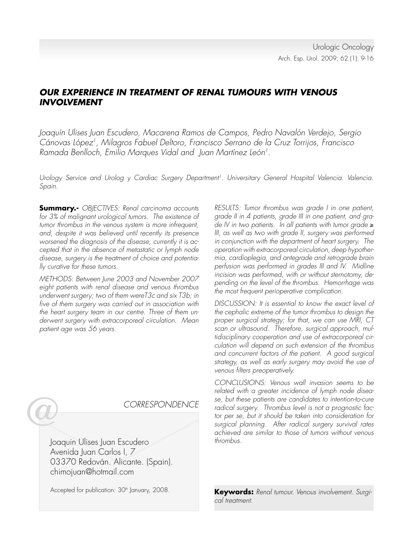# **OUR EXPERIENCE IN TREATMENT OF RENAL TUMOURS WITH VENOUS INVOLVEMENT**

Joaquín Ulises Juan Escudero, Macarena Ramos de Campos, Pedro Navalón Verdejo, Sergio Cánovas López<sup>1</sup>, Milagros Fabuel Deltoro, Francisco Serrano de la Cruz Torrijos, Francisco Ramada Benlloch, Emilio Marques Vidal and Juan Martínez León<sup>1</sup>.

Urology Service and Urolog y Cardiac Surgery Department<sup>1</sup>. Universitary General Hospital Valencia. Valencia. Spain.

**Summary.-** OBJECTIVES: Renal carcinoma accounts for 3% of malignant urological tumors. The existence of tumor thrombus in the venous system is more infrequent, and, despite it was believed until recently its presence worsened the diagnosis of the disease, currently it is accepted that in the absence of metastatic or lymph node disease, surgery is the treatment of choice and potentially curative for these tumors.

METHODS: Between June 2003 and November 2007 eight patients with renal disease and venous thrombus underwent surgery; two of them wereT3c and six T3b; in five of them surgery was carried out in association with the heart surgery team in our centre. Three of them underwent surgery with extracorporeal circulation. Mean patient age was 56 years.

RESULTS: Tumor thrombus was grade I in one patient, grade II in 4 patients, grade III in one patient, and grade IV in two patients. In all patients with tumor grade ≥ III, as well as two with grade II, surgery was performed in conjunction with the department of heart surgery. The operation with extracorporeal circulation, deep hypothermia, cardioplegia, and antegrade and retrograde brain perfusion was performed in grades III and IV. Midline incision was performed, with or without sternotomy, depending on the level of the thrombus. Hemorrhage was the most frequent perioperative complication.

DISCUSSION: It is essential to know the exact level of the cephalic extreme of the tumor thrombus to design the proper surgical strategy; for that, we can use MRI, CT scan or ultrasound. Therefore, surgical approach, multidisciplinary cooperation and use of extracorporeal circulation will depend on such extension of the thrombus and concurrent factors of the patient. A good surgical strategy, as well as early surgery may avoid the use of venous filters preoperatively.

CONCLUSIONS: Venous wall invasion seems to be related with a greater incidence of lymph node disease, but these patients are candidates to intention-to-cure radical surgery. Thrombus level is not a prognostic factor per se, but it should be taken into consideration for surgical planning. After radical surgery survival rates achieved are similar to those of tumors without venous thrombus.

**Keywords:** Renal tumour. Venous involvement. Surgical treatment.

# CORRESPONDENCE

Joaquin Ulises Juan Escudero Avenida Juan Carlos I, 7 03370 Redován. Alicante. (Spain). chimojuan@hotmail.com

Accepted for publication: 30<sup>th</sup> January, 2008.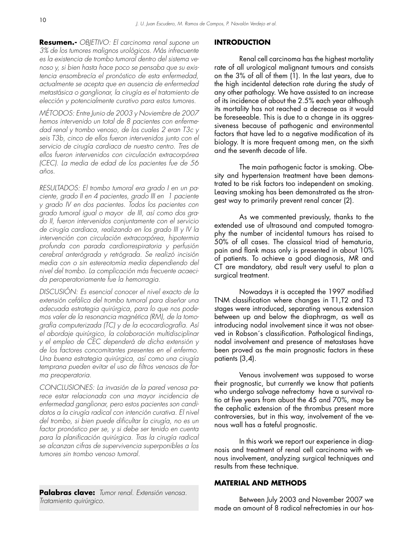**Resumen.-** OBJETIVO: El carcinoma renal supone un 3% de los tumores malignos urológicos. Más infrecuente es la existencia de trombo tumoral dentro del sistema venoso y, si bien hasta hace poco se pensaba que su existencia ensombrecía el pronóstico de esta enfermedad, actualmente se acepta que en ausencia de enfermedad metastásica o ganglionar, la cirugía es el tratamiento de elección y potencialmente curativo para estos tumores.

MÉTODOS: Entre Junio de 2003 y Noviembre de 2007 hemos intervenido un total de 8 pacientes con enfermedad renal y trombo venoso, de los cuales 2 eran T3c y seis T3b, cinco de ellos fueron intervenidos junto con el servicio de cirugía cardiaca de nuestro centro. Tres de ellos fueron intervenidos con circulación extracorpórea (CEC). La media de edad de los pacientes fue de 56 años.

RESULTADOS: El trombo tumoral era grado I en un paciente, grado II en 4 pacientes, grado III en 1 paciente y grado IV en dos pacientes. Todos los pacientes con grado tumoral igual o mayor de III, así como dos grado II, fueron intervenidos conjuntamente con el servicio de cirugía cardiaca, realizando en los grado III y IV la intervención con circulación extracorpórea, hipotermia profunda con parada cardiorrespiratoria y perfusión cerebral anterógrada y retrógrada. Se realizó incisión media con o sin estereotomía media dependiendo del nivel del trombo. La complicación más frecuente acaecida peroperatoriamente fue la hemorragia.

DISCUSIÓN: Es esencial conocer el nivel exacto de la extensión cefálica del trombo tumoral para diseñar una adecuada estrategia quirúrgica, para lo que nos podemos valer de la resonancia magnética (RM), de la tomografía computerizada (TC) y de la ecocardiografía. Así el abordaje quirúrgico, la colaboración multidisciplinar y el empleo de CEC dependerá de dicha extensión y de los factores concomitantes presentes en el enfermo. Una buena estrategia quirúrgica, así como una cirugía temprana pueden evitar el uso de filtros venosos de forma preoperatoria.

CONCLUSIONES: La invasión de la pared venosa parece estar relacionada con una mayor incidencia de enfermedad ganglionar, pero estos pacientes son candidatos a la cirugía radical con intención curativa. El nivel del trombo, si bien puede dificultar la cirugía, no es un factor pronóstico per se, y si debe ser tenido en cuenta para la planificación quirúrgica. Tras la cirugía radical se alcanzan cifras de supervivencia superponibles a los tumores sin trombo venoso tumoral.

**Palabras clave:** Tumor renal. Extensión venosa. Tratamiento quirúrgico.

#### **INTRODUCTION**

Renal cell carcinoma has the highest mortality rate of all urological malignant tumours and consists on the 3% of all of them (1). In the last years, due to the high incidental detection rate during the study of any other pathology. We have assisted to an increase of its incidence of about the 2.5% each year although its mortality has not reached a decrease as it would be foreseeable. This is due to a change in its aggressiveness because of pathogenic and environmental factors that have led to a negative modification of its biology. It is more frequent among men, on the sixth and the seventh decade of life.

 The main pathogenic factor is smoking. Obesity and hypertension treatment have been demonstrated to be risk factors too independent on smoking. Leaving smoking has been demonstrated as the strongest way to primarily prevent renal cancer (2).

 As we commented previously, thanks to the extended use of ultrasound and computed tomography the number of incidental tumours has raised to 50% of all cases. The classical triad of hematuria, pain and flank mass only is presented in about 10% of patients. To achieve a good diagnosis, MR and CT are mandatory, abd result very useful to plan a surgical treatment.

 Nowadays it is accepted the 1997 modified TNM classification where changes in T1,T2 and T3 stages were introduced, separating venous extension between up and below the diaphragm, as well as introducing nodal involvement since it was not observed in Robson´s classification. Pathological findings, nodal involvement and presence of metastases have been proved as the main prognostic factors in these patients (3,4).

 Venous involvement was supposed to worse their prognostic, but currently we know that patients who undergo salvage nefrectomy have a survival ratio at five years from abuot the 45 and 70%, may be the cephalic extension of the thrombus present more controversies, but in this way, involvement of the venous wall has a fateful prognostic.

 In this work we report our experience in diagnosis and treatment of renal cell carcinoma with venous involvement, analyzing surgical techniques and results from these technique.

#### **MATERIAL AND METHODS**

 Between July 2003 and November 2007 we made an amount of 8 radical nefrectomies in our hos-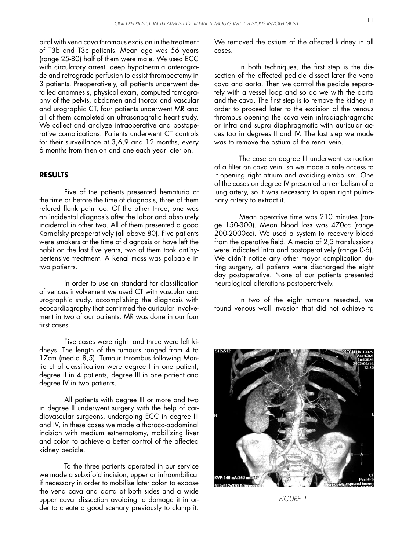pital with vena cava thrombus excision in the treatment of T3b and T3c patients. Mean age was 56 years (range 25-80) half of them were male. We used ECC with circulatory arrest, deep hypothermia anterograde and retrograde perfusion to assist thrombectomy in 3 patients. Preoperatively, all patients underwent detailed anamnesis, physical exam, computed tomography of the pelvis, abdomen and thorax and vascular and urographic CT, four patients underwent MR and all of them completed an ultrasonografic heart study. We collect and analyze intraoperative and postoperative complications. Patients underwent CT controls for their surveillance at 3,6,9 and 12 months, every 6 months from then on and one each year later on.

### **RESULTS**

 Five of the patients presented hematuria at the time or before the time of diagnosis, three of them refered flank pain too. Of the other three, one was an incidental diagnosis after the labor and absolutely incidental in other two. All of them presented a good Karnofsky preoperatively (all above 80). Five patients were smokers at the time of diagnosis or have left the habit on the last five years, two of them took antihypertensive treatment. A Renal mass was palpable in two patients.

 In order to use an standard for classification of venous involvement we used CT with vascular and urographic study, accomplishing the diagnosis with ecocardiography that confirmed the auricular involvement in two of our patients. MR was done in our four first cases.

 Five cases were right and three were left kidneys. The length of the tumours ranged from 4 to 17cm (media 8,5). Tumour thrombus following Montie et al classification were degree I in one patient, degree II in 4 patients, degree III in one patient and degree IV in two patients.

 All patients with degree III or more and two in degree II underwent surgery with the help of cardiovascular surgeons, undergoing ECC in degree III and IV, in these cases we made a thoraco-abdominal incision with medium esthernotomy, mobilizing liver and colon to achieve a better control of the affected kidney pedicle.

 To the three patients operated in our service we made a subxifoid incision, upper or infraumbilical if necessary in order to mobilise later colon to expose the vena cava and aorta at both sides and a wide upper caval dissection avoiding to damage it in order to create a good scenary previously to clamp it. We removed the ostium of the affected kidney in all cases.

 In both techniques, the first step is the dissection of the affected pedicle dissect later the vena cava and aorta. Then we control the pedicle separately with a vessel loop and so do we with the aorta and the cava. The first step is to remove the kidney in order to proceed later to the excision of the venous thrombus opening the cava vein infradiaphragmatic or infra and supra diaphragmatic with auricular acces too in degrees II and IV. The last step we made was to remove the ostium of the renal vein

 The case on degree III underwent extraction of a filter on cava vein, so we made a safe access to it opening right atrium and avoiding embolism. One of the cases on degree IV presented an embolism of a lung artery, so it was necessary to open right pulmonary artery to extract it.

 Mean operative time was 210 minutes (range 150-300). Mean blood loss was 470cc (range 200-2000cc). We used a system to recovery blood from the operative field. A media of 2,3 transfussions were indicated intra and postoperatively (range 0-6). We didn't notice any other mayor complication during surgery, all patients were discharged the eight day postoperative. None of our patients presented neurological alterations postoperatively.

 In two of the eight tumours resected, we found venous wall invasion that did not achieve to



FIGURE 1.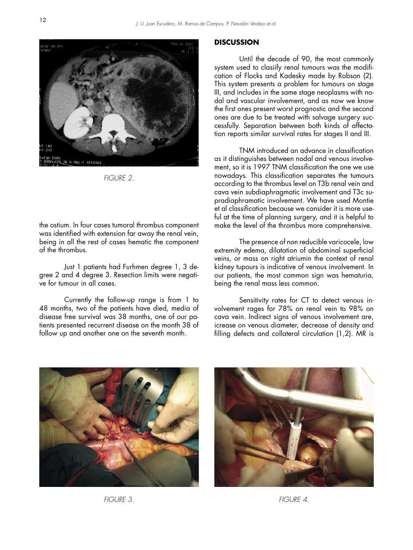

FIGURE 2.

the ostium. In four cases tumoral thrombus component was identified with extension far away the renal vein, being in all the rest of cases hematic the component of the thrombus.

 Just 1 patients had Furhmen degree 1, 3 degree 2 and 4 degree 3. Resection limits were negative for tumour in all cases.

 Currently the follow-up range is from 1 to 48 months, two of the patients have died, media of disease free survival was 38 months, one of our patients presented recurrent disease on the month 38 of follow up and another one on the seventh month.

#### **DISCUSSION**

 Until the decade of 90, the most commonly system used to clasiify renal tumours was the modification of Flocks and Kadesky made by Robson (2). This system presents a problem for tumours on stage III, and includes in the same stage neoplasms with nodal and vascular involvement, and as now we know the first ones present worst prognostic and the second ones are due to be treated with salvage surgery successfully. Separation between both kinds of affectation reports similar survival rates for stages II and III.

 TNM introduced an advance in classification as it distinguishes between nodal and venous involvement, so it is 1997 TNM classification the one we use nowadays. This classification separates the tumours according to the thrombus level on T3b renal vein and cava vein subdiaphragmatic involvement and T3c supradiaphramatic involvement. We have used Montie et al classification because we consider it is more useful at the time of planning surgery, and it is helpful to make the level of the thrombus more comprehensive.

 The presence of non reducible varicocele, low extremity edema, dilatation of abdominal superficial veins, or mass on right atriumin the context of renal kidney tupours is indicative of venous involvement. In our patients, the most common sign was hematuria, being the renal mass less common.

 Sensitivity rates for CT to detect venous involvement rages for 78% on renal vein to 98% on cava vein. Indirect signs of venous involvement are, icrease on venous diameter, decrease of density and filling defects and collateral circulation (1,2). MR is



FIGURE 3. FIGURE 4.

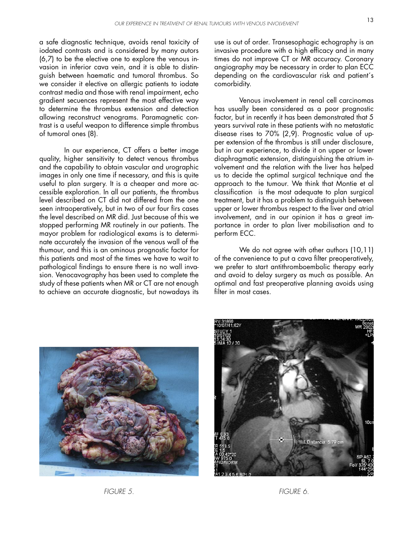a safe diagnostic technique, avoids renal toxicity of iodated contrasts and is considered by many autors (6,7) to be the elective one to explore the venous invasion in inferior cava vein, and it is able to distinguish between haematic and tumoral thrombus. So we consider it elective on allergic patients to iodate contrast media and those with renal impairment, echo gradient secuences represent the most effective way to determine the thrombus extension and detection allowing reconstruct venograms. Paramagnetic contrast is a useful weapon to difference simple thrombus of tumoral ones (8).

 In our experience, CT offers a better image quality, higher sensitivity to detect venous thrombus and the capability to obtain vascular and urographic images in only one time if necessary, and this is quite useful to plan surgery. It is a cheaper and more accessible exploration. In all our patients, the thrombus level described on CT did not differed from the one seen intraoperatively, but in two of our four firs cases the level described on MR did. Just because of this we stopped performing MR routinely in our patients. The mayor problem for radiological exams is to determinate accurately the invasion of the venous wall of the thumour, and this is an ominous prognostic factor for this patients and most of the times we have to wait to pathological findings to ensure there is no wall invasion. Venocavography has been used to complete the study of these patients when MR or CT are not enough to achieve an accurate diagnostic, but nowadays its

use is out of order. Transesophagic echography is an invasive procedure with a high efficacy and in many times do not improve CT or MR accuracy. Coronary angiography may be necessary in order to plan ECC depending on the cardiovascular risk and patient´s comorbidity.

 Venous involvement in renal cell carcinomas has usually been considered as a poor prognostic factor, but in recently it has been demonstrated that 5 years survival rate in these patients with no metastatic disease rises to 70% (2,9). Prognostic value of upper extension of the thrombus is still under disclosure, but in our experience, to divide it on upper or lower diaphragmatic extension, distinguishing the atrium involvement and the relation with the liver has helped us to decide the optimal surgical technique and the approach to the tumour. We think that Montie et al classification is the most adequate to plan surgical treatment, but it has a problem to distinguish between upper or lower thrombus respect to the liver and atrial involvement, and in our opinion it has a great importance in order to plan liver mobilisation and to perform ECC.

We do not agree with other authors (10,11) of the convenience to put a cava filter preoperatively, we prefer to start antithromboembolic therapy early and avoid to delay surgery as much as possible. An optimal and fast preoperative planning avoids using filter in most cases.





FIGURE 5.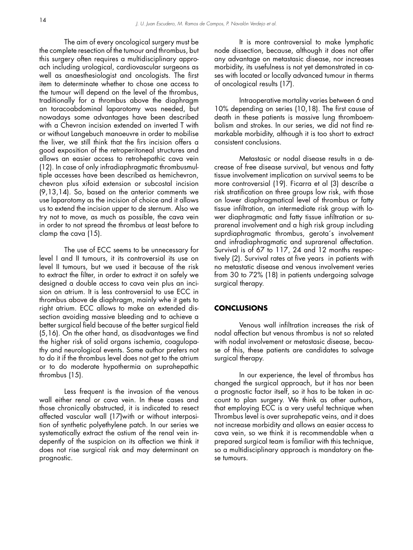The aim of every oncological surgery must be the complete resection of the tumour and thrombus, but this surgery often requires a multidisciplinary approach including urological, cardiovascular surgeons as well as anaesthesiologist and oncologists. The first item to determinate whether to chose one access to the tumour will depend on the level of the thrombus, traditionally for a thrombus above the diaphragm an toracoabdominal laparotomy was needed, but nowadays some advantages have been described with a Chevron incision extended on inverted T with or without Langebuch manoeuvre in order to mobilise the liver, we still think that the firs incision offers a good exposition of the retroperitoneal structures and allows an easier access to retrohepathic cava vein (12). In case of only infradiaphragmatic thrombusmultiple accesses have been described as hemichevron, chevron plus xifoid extension or subcostal incision (9,13,14). So, based on the anterior comments we use laparotomy as the incision of choice and it allows us to extend the incision upper to de sternum. Also we try not to move, as much as possible, the cava vein in order to not spread the thrombus at least before to clamp the cava (15).

 The use of ECC seems to be unnecessary for level I and II tumours, it its controversial its use on level II tumours, but we used it because of the risk to extract the filter, in order to extract it on safely we designed a double access to cava vein plus an incision on atrium. It is less controversial to use ECC in thrombus above de diaphragm, mainly whe it gets to right atrium. ECC allows to make an extended dissection avoiding massive bleeding and to achieve a better surgical field because of the better surgical field (5,16). On the other hand, as disadvantages we find the higher risk of solid organs ischemia, coagulopathy and neurological events. Some author prefers not to do it if the thrombus level does not get to the atrium or to do moderate hypothermia on suprahepathic thrombus (15).

 Less frequent is the invasion of the venous wall either renal or cava vein. In these cases and those chronically obstructed, it is indicated to resect affected vascular wall (17)with or without interposition of synthetic polyethylene patch. In our series we systematically extract the ostium of the renal vein indepently of the suspicion on its affection we think it does not rise surgical risk and may determinant on prognostic.

 It is more controversial to make lymphatic node dissection, because, although it does not offer any advantage on metastasic disease, nor increases morbidity, its usefulness is not yet demonstrated in cases with located or locally advanced tumour in therms of oncological results (17).

 Intraoperative mortality varies between 6 and 10% depending on series (10,18). The first cause of death in these patients is massive lung thromboembolism and strokes. In our series, we did not find remarkable morbidity, although it is too short to extract consistent conclusions.

 Metastasic or nodal disease results in a decrease of free disease survival, but venous and fatty tissue involvement implication on survival seems to be more controversial (19). Ficarra et al (3) describe a risk stratification on three groups low risk, with those on lower diaphragmatical level of thrombus or fatty tissue infiltration, an intermediate risk group with lower diaphragmatic and fatty tissue infiltration or suprarenal involvement and a high risk group including suprdiaphragmatic thrombus, gerota´s involvement and infradiaphragmatic and suprarenal affectation. Survival is of 67 to 117, 24 and 12 months respectively (2). Survival rates at five years in patients with no metastatic disease and venous involvement veries from 30 to 72% (18) in patients undergoing salvage surgical therapy.

#### **CONCLUSIONS**

 Venous wall infiltration increases the risk of nodal affection but venous thrombus is not so related with nodal involvement or metastasic disease, because of this, these patients are candidates to salvage surgical therapy.

 In our experience, the level of thrombus has changed the surgical approach, but it has nor been a prognostic factor itself, so it has to be taken in account to plan surgery. We think as other authors, that employing ECC is a very useful technique when Thrombus level is over suprahepatic veins, and it does not increase morbidity and allows an easier access to cava vein, so we think it is recommendable when a prepared surgical team is familiar with this technique, so a multidisciplinary approach is mandatory on these tumours.